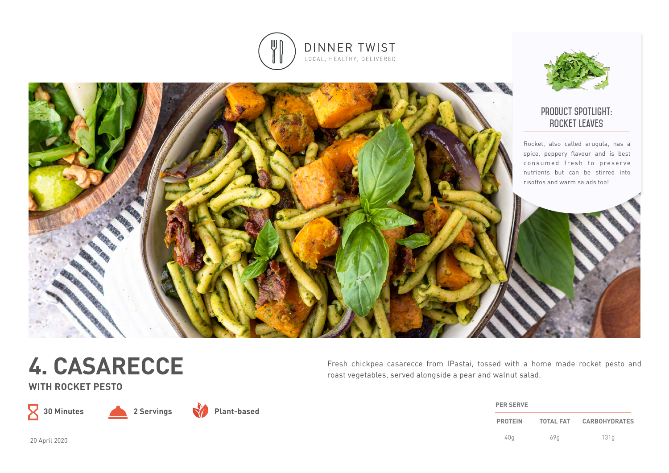



## **product spotlight: Rocket leaves**

Rocket, also called arugula, has a spice, peppery flavour and is best consumed fresh to preserve nutrients but can be stirred into risottos and warm salads too!



**WITH ROCKET PESTO**







**Plant-based**

Fresh chickpea casarecce from IPastai, tossed with a home made rocket pesto and roast vegetables, served alongside a pear and walnut salad.

| <b>PER SERVE</b> |                  |                      |
|------------------|------------------|----------------------|
| <b>PROTEIN</b>   | <b>TOTAL FAT</b> | <b>CARBOHYDRATES</b> |
| 40a              | 69a              | 131q                 |

20 April 2020